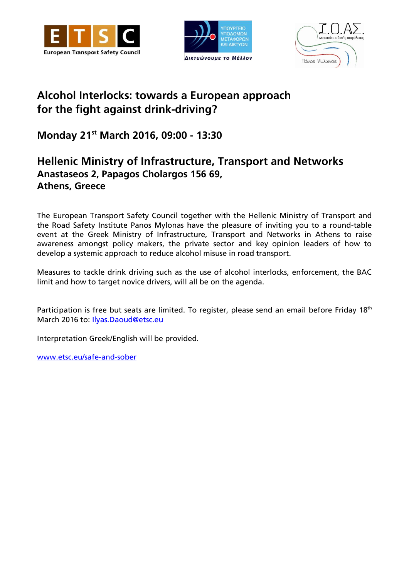





# **Alcohol Interlocks: towards a European approach for the fight against drink-driving?**

**Monday 21 st March 2016, 09:00 - 13:30**

# **Hellenic Ministry of Infrastructure, Transport and Networks Anastaseos 2, Papagos Cholargos 156 69, Athens, Greece**

The European Transport Safety Council together with the Hellenic Ministry of Transport and the Road Safety Institute Panos Mylonas have the pleasure of inviting you to a round-table event at the Greek Ministry of Infrastructure, Transport and Networks in Athens to raise awareness amongst policy makers, the private sector and key opinion leaders of how to develop a systemic approach to reduce alcohol misuse in road transport.

Measures to tackle drink driving such as the use of alcohol interlocks, enforcement, the BAC limit and how to target novice drivers, will all be on the agenda.

Participation is free but seats are limited. To register, please send an email before Friday 18<sup>th</sup> March 2016 to: [Ilyas.Daoud@etsc.eu](mailto:Ilyas.Daoud@etsc.eu)

Interpretation Greek/English will be provided.

[www.etsc.eu/safe-and-sober](http://www.etsc.eu/safe-and-sober)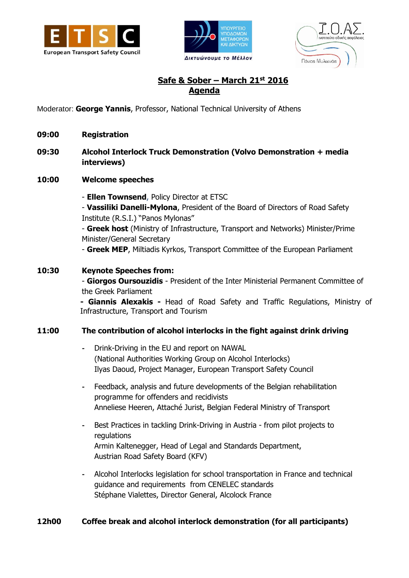





## **Safe & Sober – March 21st 2016 Agenda**

Moderator: **George Yannis**, Professor, National Technical University of Athens

- **09:00 Registration**
- **09:30 Alcohol Interlock Truck Demonstration (Volvo Demonstration + media interviews)**
- **10:00 Welcome speeches**

- **Ellen Townsend**, Policy Director at ETSC

- **Vassiliki Danelli-Mylona**, President of the Board of Directors of Road Safety Institute (R.S.I.) "Panos Mylonas"

- **Greek host** (Ministry of Infrastructure, Transport and Networks) Minister/Prime Minister/General Secretary

- **Greek MEP**, Miltiadis Kyrkos, Transport Committee of the European Parliament

#### **10:30 Keynote Speeches from:**

- **Giorgos Oursouzidis** - President of the Inter Ministerial Permanent Committee of the Greek Parliament

**- Giannis Alexakis -** Head of Road Safety and Traffic Regulations, Ministry of Infrastructure, Transport and Tourism

#### **11:00 The contribution of alcohol interlocks in the fight against drink driving**

- **-** Drink-Driving in the EU and report on NAWAL (National Authorities Working Group on Alcohol Interlocks) Ilyas Daoud, Project Manager, European Transport Safety Council
- **-** Feedback, analysis and future developments of the Belgian rehabilitation programme for offenders and recidivists Anneliese Heeren, Attaché Jurist, Belgian Federal Ministry of Transport
- **-** Best Practices in tackling Drink-Driving in Austria from pilot projects to regulations Armin Kaltenegger, Head of Legal and Standards Department, Austrian Road Safety Board (KFV)
- **-** Alcohol Interlocks legislation for school transportation in France and technical guidance and requirements from CENELEC standards Stéphane Vialettes, Director General, Alcolock France

#### **12h00 Coffee break and alcohol interlock demonstration (for all participants)**